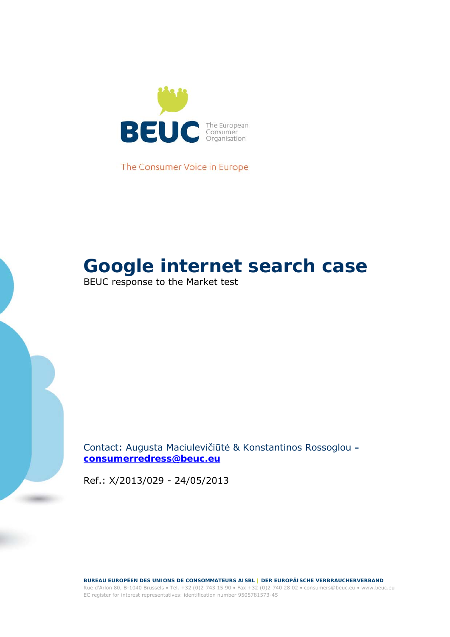

The Consumer Voice in Europe

# **Google internet search case**

BEUC response to the Market test

Contact: Augusta Maciulevičiūtė & Konstantinos Rossoglou **– [consumerredress@beuc.eu](mailto:consumerredress@beuc.eu)**

Ref.: X/2013/029 - 24/05/2013

**BUREAU EUROPÉEN DES UNIONS DE CONSOMMATEURS AISBL | DER EUROPÄISCHE VERBRAUCHERVERBAND** Rue d'Arlon 80, B-1040 Brussels • Tel. +32 (0)2 743 15 90 • Fax +32 (0)2 740 28 02 • consumers@beuc.eu • www.beuc.eu EC register for interest representatives: identification number 9505781573-45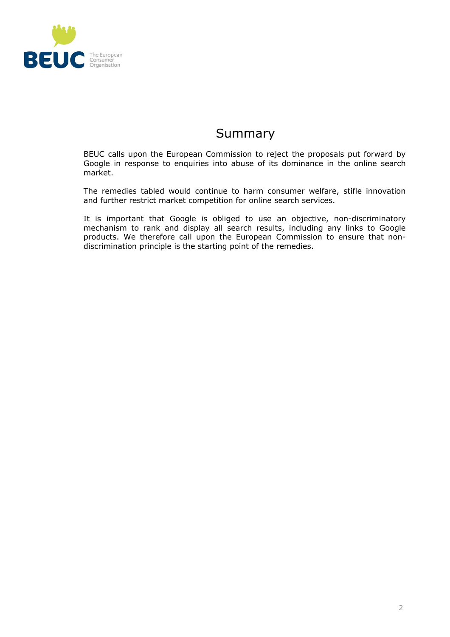

# Summary

BEUC calls upon the European Commission to reject the proposals put forward by Google in response to enquiries into abuse of its dominance in the online search market.

The remedies tabled would continue to harm consumer welfare, stifle innovation and further restrict market competition for online search services.

It is important that Google is obliged to use an objective, non-discriminatory mechanism to rank and display all search results, including any links to Google products. We therefore call upon the European Commission to ensure that nondiscrimination principle is the starting point of the remedies.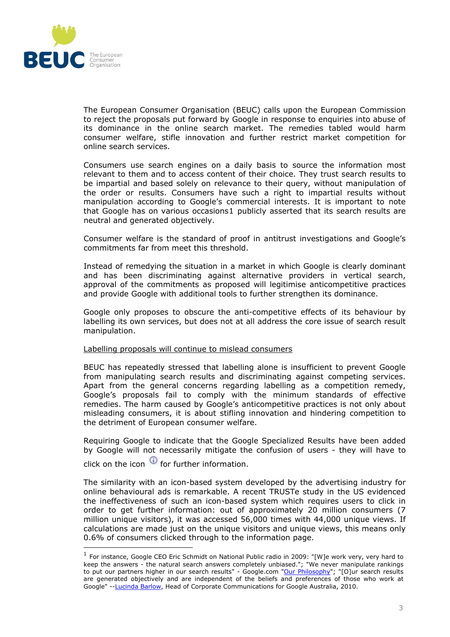

The European Consumer Organisation (BEUC) calls upon the European Commission to reject the proposals put forward by Google in response to enquiries into abuse of its dominance in the online search market. The remedies tabled would harm consumer welfare, stifle innovation and further restrict market competition for online search services.

Consumers use search engines on a daily basis to source the information most relevant to them and to access content of their choice. They trust search results to be impartial and based solely on relevance to their query, without manipulation of the order or results. Consumers have such a right to impartial results without manipulation according to Google's commercial interests. It is important to note that Google has on various occasions[1](#page-2-0) publicly asserted that its search results are neutral and generated objectively.

Consumer welfare is the standard of proof in antitrust investigations and Google's commitments far from meet this threshold.

Instead of remedying the situation in a market in which Google is clearly dominant and has been discriminating against alternative providers in vertical search, approval of the commitments as proposed will legitimise anticompetitive practices and provide Google with additional tools to further strengthen its dominance.

Google only proposes to obscure the anti-competitive effects of its behaviour by labelling its own services, but does not at all address the core issue of search result manipulation.

# Labelling proposals will continue to mislead consumers

BEUC has repeatedly stressed that labelling alone is insufficient to prevent Google from manipulating search results and discriminating against competing services. Apart from the general concerns regarding labelling as a competition remedy, Google's proposals fail to comply with the minimum standards of effective remedies. The harm caused by Google's anticompetitive practices is not only about misleading consumers, it is about stifling innovation and hindering competition to the detriment of European consumer welfare.

Requiring Google to indicate that the Google Specialized Results have been added by Google will not necessarily mitigate the confusion of users - they will have to

click on the icon  $\overline{O}$  for further information.

j.

The similarity with an icon-based system developed by the advertising industry for online behavioural ads is remarkable. A recent TRUSTe study in the US evidenced the ineffectiveness of such an icon-based system which requires users to click in order to get further information: out of approximately 20 million consumers (7 million unique visitors), it was accessed 56,000 times with 44,000 unique views. If calculations are made just on the unique visitors and unique views, this means only 0.6% of consumers clicked through to the information page.

<span id="page-2-0"></span><sup>&</sup>lt;sup>1</sup> For instance, Google CEO Eric Schmidt on National Public radio in 2009: "[W]e work very, very hard to keep the answers - the natural search answers completely unbiased."; "We never manipulate rankings to put our partners higher in our search results" - Google.com ["Our Philosophy"](http://www.google.com/corporate/tenthings.html); "[O]ur search results are generated objectively and are independent of the beliefs and preferences of those who work at Google" -[-Lucinda Barlow](http://google-au.blogspot.com/2010/01/hey-my-site-disappeared.html), Head of Corporate Communications for Google Australia, 2010.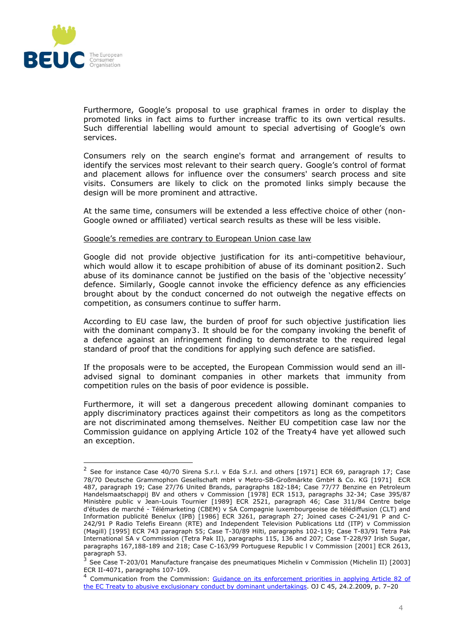

l

Furthermore, Google's proposal to use graphical frames in order to display the promoted links in fact aims to further increase traffic to its own vertical results. Such differential labelling would amount to special advertising of Google's own services.

Consumers rely on the search engine's format and arrangement of results to identify the services most relevant to their search query. Google's control of format and placement allows for influence over the consumers' search process and site visits. Consumers are likely to click on the promoted links simply because the design will be more prominent and attractive.

At the same time, consumers will be extended a less effective choice of other (non-Google owned or affiliated) vertical search results as these will be less visible.

#### Google's remedies are contrary to European Union case law

Google did not provide objective justification for its anti-competitive behaviour, which would allow it to escape prohibition of abuse of its dominant position[2](#page-3-0). Such abuse of its dominance cannot be justified on the basis of the 'objective necessity' defence. Similarly, Google cannot invoke the efficiency defence as any efficiencies brought about by the conduct concerned do not outweigh the negative effects on competition, as consumers continue to suffer harm.

According to EU case law, the burden of proof for such objective justification lies with the dominant company[3](#page-3-1). It should be for the company invoking the benefit of a defence against an infringement finding to demonstrate to the required legal standard of proof that the conditions for applying such defence are satisfied.

If the proposals were to be accepted, the European Commission would send an illadvised signal to dominant companies in other markets that immunity from competition rules on the basis of poor evidence is possible.

Furthermore, it will set a dangerous precedent allowing dominant companies to apply discriminatory practices against their competitors as long as the competitors are not discriminated among themselves. Neither EU competition case law nor the Commission guidance on applying Article 102 of the Treat[y4](#page-3-2) have yet allowed such an exception.

<span id="page-3-0"></span> $^{2}$  See for instance Case 40/70 Sirena S.r.l. v Eda S.r.l. and others [1971] ECR 69, paragraph 17; Case 78/70 Deutsche Grammophon Gesellschaft mbH v Metro-SB-Großmärkte GmbH & Co. KG [1971] ECR 487, paragraph 19; Case 27/76 United Brands, paragraphs 182-184; Case 77/77 Benzine en Petroleum Handelsmaatschappij BV and others v Commission [1978] ECR 1513, paragraphs 32-34; Case 395/87 Ministère public v Jean-Louis Tournier [1989] ECR 2521, paragraph 46; Case 311/84 Centre belge d'études de marché - Télémarketing (CBEM) v SA Compagnie luxembourgeoise de télédiffusion (CLT) and Information publicité Benelux (IPB) [1986] ECR 3261, paragraph 27; Joined cases C-241/91 P and C-242/91 P Radio Telefis Eireann (RTE) and Independent Television Publications Ltd (ITP) v Commission (Magill) [1995] ECR 743 paragraph 55; Case T-30/89 Hilti, paragraphs 102-119; Case T-83/91 Tetra Pak International SA v Commission (Tetra Pak II), paragraphs 115, 136 and 207; Case T-228/97 Irish Sugar, paragraphs 167,188-189 and 218; Case C-163/99 Portuguese Republic l v Commission [2001] ECR 2613, paragraph 53.

<span id="page-3-1"></span><sup>3</sup> See Case T-203/01 Manufacture française des pneumatiques Michelin v Commission (Michelin II) [2003] ECR II-4071, paragraphs 107-109.

<span id="page-3-2"></span>Communication from the Commission: Guidance on its enforcement priorities in applying Article 82 of [the EC Treaty to abusive exclusionary conduct by dominant undertakings.](http://eur-lex.europa.eu/LexUriServ/LexUriServ.do?uri=CELEX:52009XC0224(01):EN:NOT) OJ C 45, 24.2.2009, p. 7-20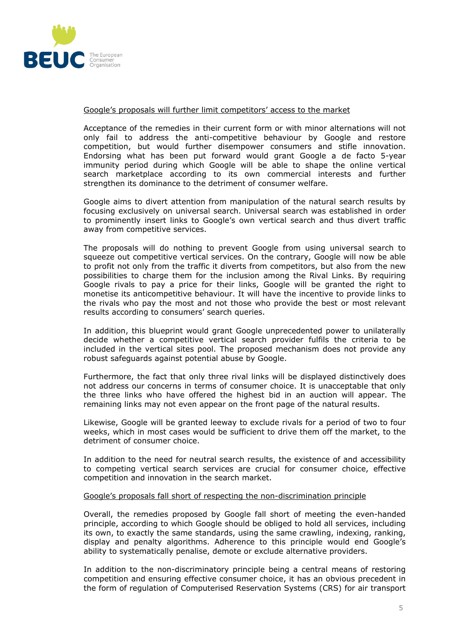

### Google's proposals will further limit competitors' access to the market

Acceptance of the remedies in their current form or with minor alternations will not only fail to address the anti-competitive behaviour by Google and restore competition, but would further disempower consumers and stifle innovation. Endorsing what has been put forward would grant Google a de facto 5-year immunity period during which Google will be able to shape the online vertical search marketplace according to its own commercial interests and further strengthen its dominance to the detriment of consumer welfare.

Google aims to divert attention from manipulation of the natural search results by focusing exclusively on universal search. Universal search was established in order to prominently insert links to Google's own vertical search and thus divert traffic away from competitive services.

The proposals will do nothing to prevent Google from using universal search to squeeze out competitive vertical services. On the contrary, Google will now be able to profit not only from the traffic it diverts from competitors, but also from the new possibilities to charge them for the inclusion among the Rival Links. By requiring Google rivals to pay a price for their links, Google will be granted the right to monetise its anticompetitive behaviour. It will have the incentive to provide links to the rivals who pay the most and not those who provide the best or most relevant results according to consumers' search queries.

In addition, this blueprint would grant Google unprecedented power to unilaterally decide whether a competitive vertical search provider fulfils the criteria to be included in the vertical sites pool. The proposed mechanism does not provide any robust safeguards against potential abuse by Google.

Furthermore, the fact that only three rival links will be displayed distinctively does not address our concerns in terms of consumer choice. It is unacceptable that only the three links who have offered the highest bid in an auction will appear. The remaining links may not even appear on the front page of the natural results.

Likewise, Google will be granted leeway to exclude rivals for a period of two to four weeks, which in most cases would be sufficient to drive them off the market, to the detriment of consumer choice.

In addition to the need for neutral search results, the existence of and accessibility to competing vertical search services are crucial for consumer choice, effective competition and innovation in the search market.

# Google's proposals fall short of respecting the non-discrimination principle

Overall, the remedies proposed by Google fall short of meeting the even-handed principle, according to which Google should be obliged to hold all services, including its own, to exactly the same standards, using the same crawling, indexing, ranking, display and penalty algorithms. Adherence to this principle would end Google's ability to systematically penalise, demote or exclude alternative providers.

In addition to the non-discriminatory principle being a central means of restoring competition and ensuring effective consumer choice, it has an obvious precedent in the form of regulation of Computerised Reservation Systems (CRS) for air transport